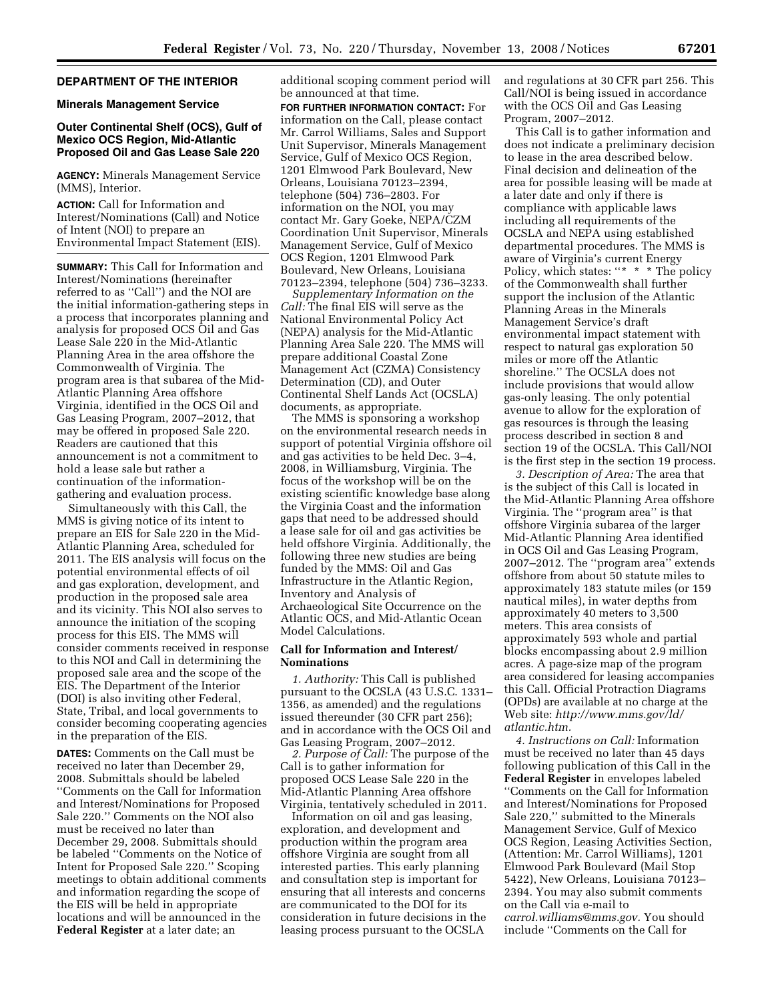### **DEPARTMENT OF THE INTERIOR**

**Minerals Management Service** 

## **Outer Continental Shelf (OCS), Gulf of Mexico OCS Region, Mid-Atlantic Proposed Oil and Gas Lease Sale 220**

**AGENCY:** Minerals Management Service (MMS), Interior.

**ACTION:** Call for Information and Interest/Nominations (Call) and Notice of Intent (NOI) to prepare an Environmental Impact Statement (EIS).

**SUMMARY:** This Call for Information and Interest/Nominations (hereinafter referred to as ''Call'') and the NOI are the initial information-gathering steps in a process that incorporates planning and analysis for proposed OCS Oil and Gas Lease Sale 220 in the Mid-Atlantic Planning Area in the area offshore the Commonwealth of Virginia. The program area is that subarea of the Mid-Atlantic Planning Area offshore Virginia, identified in the OCS Oil and Gas Leasing Program, 2007–2012, that may be offered in proposed Sale 220. Readers are cautioned that this announcement is not a commitment to hold a lease sale but rather a continuation of the informationgathering and evaluation process.

Simultaneously with this Call, the MMS is giving notice of its intent to prepare an EIS for Sale 220 in the Mid-Atlantic Planning Area, scheduled for 2011. The EIS analysis will focus on the potential environmental effects of oil and gas exploration, development, and production in the proposed sale area and its vicinity. This NOI also serves to announce the initiation of the scoping process for this EIS. The MMS will consider comments received in response to this NOI and Call in determining the proposed sale area and the scope of the EIS. The Department of the Interior (DOI) is also inviting other Federal, State, Tribal, and local governments to consider becoming cooperating agencies in the preparation of the EIS.

**DATES:** Comments on the Call must be received no later than December 29, 2008. Submittals should be labeled ''Comments on the Call for Information and Interest/Nominations for Proposed Sale 220.'' Comments on the NOI also must be received no later than December 29, 2008. Submittals should be labeled ''Comments on the Notice of Intent for Proposed Sale 220.'' Scoping meetings to obtain additional comments and information regarding the scope of the EIS will be held in appropriate locations and will be announced in the **Federal Register** at a later date; an

additional scoping comment period will be announced at that time.

**FOR FURTHER INFORMATION CONTACT:** For information on the Call, please contact Mr. Carrol Williams, Sales and Support Unit Supervisor, Minerals Management Service, Gulf of Mexico OCS Region, 1201 Elmwood Park Boulevard, New Orleans, Louisiana 70123–2394, telephone (504) 736–2803. For information on the NOI, you may contact Mr. Gary Goeke, NEPA/CZM Coordination Unit Supervisor, Minerals Management Service, Gulf of Mexico OCS Region, 1201 Elmwood Park Boulevard, New Orleans, Louisiana 70123–2394, telephone (504) 736–3233.

*Supplementary Information on the Call:* The final EIS will serve as the National Environmental Policy Act (NEPA) analysis for the Mid-Atlantic Planning Area Sale 220. The MMS will prepare additional Coastal Zone Management Act (CZMA) Consistency Determination (CD), and Outer Continental Shelf Lands Act (OCSLA) documents, as appropriate.

The MMS is sponsoring a workshop on the environmental research needs in support of potential Virginia offshore oil and gas activities to be held Dec. 3–4, 2008, in Williamsburg, Virginia. The focus of the workshop will be on the existing scientific knowledge base along the Virginia Coast and the information gaps that need to be addressed should a lease sale for oil and gas activities be held offshore Virginia. Additionally, the following three new studies are being funded by the MMS: Oil and Gas Infrastructure in the Atlantic Region, Inventory and Analysis of Archaeological Site Occurrence on the Atlantic OCS, and Mid-Atlantic Ocean Model Calculations.

#### **Call for Information and Interest/ Nominations**

*1. Authority:* This Call is published pursuant to the OCSLA (43 U.S.C. 1331– 1356, as amended) and the regulations issued thereunder (30 CFR part 256); and in accordance with the OCS Oil and Gas Leasing Program, 2007–2012.

*2. Purpose of Call:* The purpose of the Call is to gather information for proposed OCS Lease Sale 220 in the Mid-Atlantic Planning Area offshore Virginia, tentatively scheduled in 2011.

Information on oil and gas leasing, exploration, and development and production within the program area offshore Virginia are sought from all interested parties. This early planning and consultation step is important for ensuring that all interests and concerns are communicated to the DOI for its consideration in future decisions in the leasing process pursuant to the OCSLA

and regulations at 30 CFR part 256. This Call/NOI is being issued in accordance with the OCS Oil and Gas Leasing Program, 2007–2012.

This Call is to gather information and does not indicate a preliminary decision to lease in the area described below. Final decision and delineation of the area for possible leasing will be made at a later date and only if there is compliance with applicable laws including all requirements of the OCSLA and NEPA using established departmental procedures. The MMS is aware of Virginia's current Energy Policy, which states: "\* \* \* The policy of the Commonwealth shall further support the inclusion of the Atlantic Planning Areas in the Minerals Management Service's draft environmental impact statement with respect to natural gas exploration 50 miles or more off the Atlantic shoreline.'' The OCSLA does not include provisions that would allow gas-only leasing. The only potential avenue to allow for the exploration of gas resources is through the leasing process described in section 8 and section 19 of the OCSLA. This Call/NOI is the first step in the section 19 process.

*3. Description of Area:* The area that is the subject of this Call is located in the Mid-Atlantic Planning Area offshore Virginia. The ''program area'' is that offshore Virginia subarea of the larger Mid-Atlantic Planning Area identified in OCS Oil and Gas Leasing Program, 2007–2012. The ''program area'' extends offshore from about 50 statute miles to approximately 183 statute miles (or 159 nautical miles), in water depths from approximately 40 meters to 3,500 meters. This area consists of approximately 593 whole and partial blocks encompassing about 2.9 million acres. A page-size map of the program area considered for leasing accompanies this Call. Official Protraction Diagrams (OPDs) are available at no charge at the Web site: *http://www.mms.gov/ld/ atlantic.htm.* 

*4. Instructions on Call:* Information must be received no later than 45 days following publication of this Call in the **Federal Register** in envelopes labeled ''Comments on the Call for Information and Interest/Nominations for Proposed Sale 220,'' submitted to the Minerals Management Service, Gulf of Mexico OCS Region, Leasing Activities Section, (Attention: Mr. Carrol Williams), 1201 Elmwood Park Boulevard (Mail Stop 5422), New Orleans, Louisiana 70123– 2394. You may also submit comments on the Call via e-mail to *carrol.williams@mms.gov.* You should include ''Comments on the Call for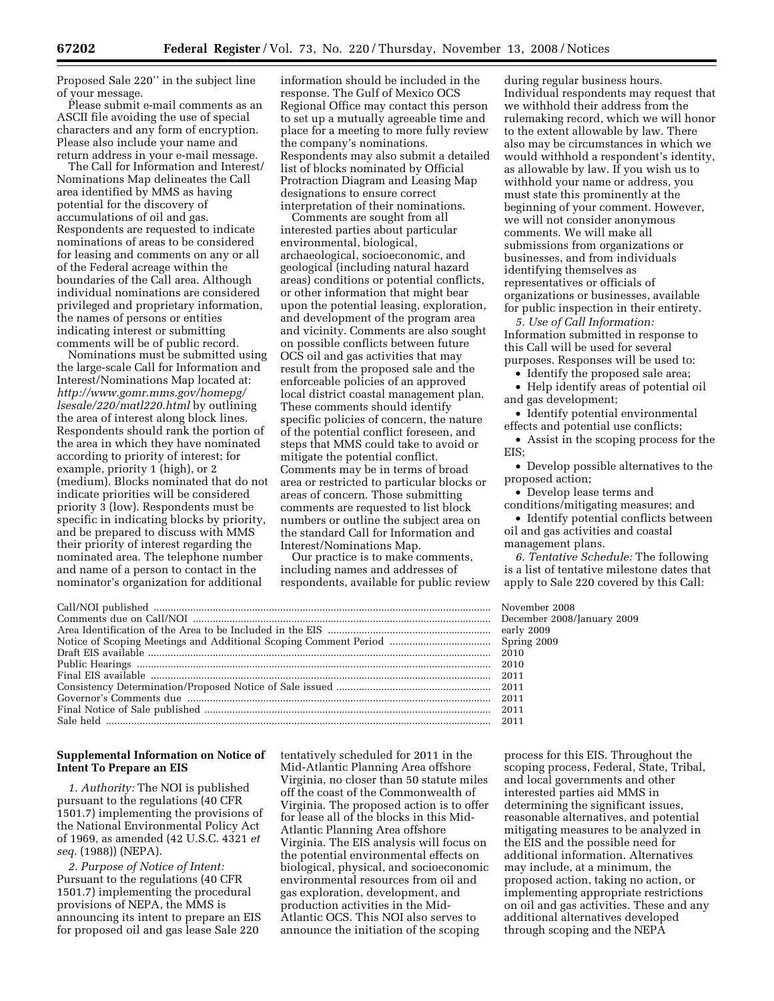Proposed Sale 220'' in the subject line of your message.

Please submit e-mail comments as an ASCII file avoiding the use of special characters and any form of encryption. Please also include your name and return address in your e-mail message.

The Call for Information and Interest/ Nominations Map delineates the Call area identified by MMS as having potential for the discovery of accumulations of oil and gas. Respondents are requested to indicate nominations of areas to be considered for leasing and comments on any or all of the Federal acreage within the boundaries of the Call area. Although individual nominations are considered privileged and proprietary information, the names of persons or entities indicating interest or submitting comments will be of public record.

Nominations must be submitted using the large-scale Call for Information and Interest/Nominations Map located at: *http://www.gomr.mms.gov/homepg/ lsesale/220/matl220.html* by outlining the area of interest along block lines. Respondents should rank the portion of the area in which they have nominated according to priority of interest; for example, priority 1 (high), or 2 (medium). Blocks nominated that do not indicate priorities will be considered priority 3 (low). Respondents must be specific in indicating blocks by priority, and be prepared to discuss with MMS their priority of interest regarding the nominated area. The telephone number and name of a person to contact in the nominator's organization for additional

information should be included in the response. The Gulf of Mexico OCS Regional Office may contact this person to set up a mutually agreeable time and place for a meeting to more fully review the company's nominations. Respondents may also submit a detailed list of blocks nominated by Official Protraction Diagram and Leasing Map designations to ensure correct interpretation of their nominations.

Comments are sought from all interested parties about particular environmental, biological, archaeological, socioeconomic, and geological (including natural hazard areas) conditions or potential conflicts, or other information that might bear upon the potential leasing, exploration, and development of the program area and vicinity. Comments are also sought on possible conflicts between future OCS oil and gas activities that may result from the proposed sale and the enforceable policies of an approved local district coastal management plan. These comments should identify specific policies of concern, the nature of the potential conflict foreseen, and steps that MMS could take to avoid or mitigate the potential conflict. Comments may be in terms of broad area or restricted to particular blocks or areas of concern. Those submitting comments are requested to list block numbers or outline the subject area on the standard Call for Information and Interest/Nominations Map.

Our practice is to make comments, including names and addresses of respondents, available for public review

during regular business hours. Individual respondents may request that we withhold their address from the rulemaking record, which we will honor to the extent allowable by law. There also may be circumstances in which we would withhold a respondent's identity, as allowable by law. If you wish us to withhold your name or address, you must state this prominently at the beginning of your comment. However, we will not consider anonymous comments. We will make all submissions from organizations or businesses, and from individuals identifying themselves as representatives or officials of organizations or businesses, available for public inspection in their entirety.

*5. Use of Call Information:*  Information submitted in response to this Call will be used for several

purposes. Responses will be used to: • Identify the proposed sale area;

• Help identify areas of potential oil and gas development;

• Identify potential environmental effects and potential use conflicts;

• Assist in the scoping process for the EIS;

• Develop possible alternatives to the proposed action;

• Develop lease terms and conditions/mitigating measures; and

• Identify potential conflicts between oil and gas activities and coastal management plans.

*6. Tentative Schedule:* The following is a list of tentative milestone dates that apply to Sale 220 covered by this Call:

November 2008

 $Spring 2009 2010$ 

December 2008/January 2009<br>early 2009

### **Supplemental Information on Notice of Intent To Prepare an EIS**

*1. Authority:* The NOI is published pursuant to the regulations (40 CFR 1501.7) implementing the provisions of the National Environmental Policy Act of 1969, as amended (42 U.S.C. 4321 *et seq.* (1988)) (NEPA).

*2. Purpose of Notice of Intent:*  Pursuant to the regulations (40 CFR 1501.7) implementing the procedural provisions of NEPA, the MMS is announcing its intent to prepare an EIS for proposed oil and gas lease Sale 220

tentatively scheduled for 2011 in the Mid-Atlantic Planning Area offshore Virginia, no closer than 50 statute miles off the coast of the Commonwealth of Virginia. The proposed action is to offer for lease all of the blocks in this Mid-Atlantic Planning Area offshore Virginia. The EIS analysis will focus on the potential environmental effects on biological, physical, and socioeconomic environmental resources from oil and gas exploration, development, and production activities in the Mid-Atlantic OCS. This NOI also serves to announce the initiation of the scoping

process for this EIS. Throughout the scoping process, Federal, State, Tribal, and local governments and other interested parties aid MMS in determining the significant issues, reasonable alternatives, and potential mitigating measures to be analyzed in the EIS and the possible need for additional information. Alternatives may include, at a minimum, the proposed action, taking no action, or implementing appropriate restrictions on oil and gas activities. These and any additional alternatives developed through scoping and the NEPA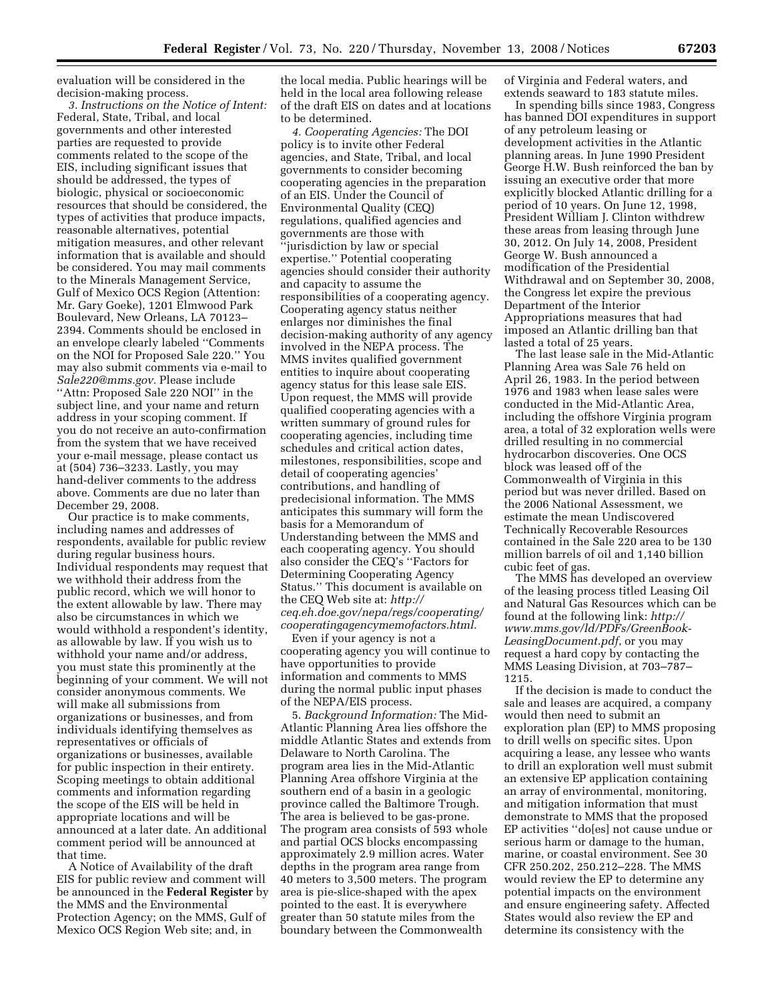evaluation will be considered in the decision-making process.

*3. Instructions on the Notice of Intent:*  Federal, State, Tribal, and local governments and other interested parties are requested to provide comments related to the scope of the EIS, including significant issues that should be addressed, the types of biologic, physical or socioeconomic resources that should be considered, the types of activities that produce impacts, reasonable alternatives, potential mitigation measures, and other relevant information that is available and should be considered. You may mail comments to the Minerals Management Service, Gulf of Mexico OCS Region (Attention: Mr. Gary Goeke), 1201 Elmwood Park Boulevard, New Orleans, LA 70123– 2394. Comments should be enclosed in an envelope clearly labeled ''Comments on the NOI for Proposed Sale 220.'' You may also submit comments via e-mail to *Sale220@mms.gov.* Please include "Attn: Proposed Sale 220 NOI" in the subject line, and your name and return address in your scoping comment. If you do not receive an auto-confirmation from the system that we have received your e-mail message, please contact us at (504) 736–3233. Lastly, you may hand-deliver comments to the address above. Comments are due no later than December 29, 2008.

Our practice is to make comments, including names and addresses of respondents, available for public review during regular business hours. Individual respondents may request that we withhold their address from the public record, which we will honor to the extent allowable by law. There may also be circumstances in which we would withhold a respondent's identity, as allowable by law. If you wish us to withhold your name and/or address, you must state this prominently at the beginning of your comment. We will not consider anonymous comments. We will make all submissions from organizations or businesses, and from individuals identifying themselves as representatives or officials of organizations or businesses, available for public inspection in their entirety. Scoping meetings to obtain additional comments and information regarding the scope of the EIS will be held in appropriate locations and will be announced at a later date. An additional comment period will be announced at that time.

A Notice of Availability of the draft EIS for public review and comment will be announced in the **Federal Register** by the MMS and the Environmental Protection Agency; on the MMS, Gulf of Mexico OCS Region Web site; and, in

the local media. Public hearings will be held in the local area following release of the draft EIS on dates and at locations to be determined.

*4. Cooperating Agencies:* The DOI policy is to invite other Federal agencies, and State, Tribal, and local governments to consider becoming cooperating agencies in the preparation of an EIS. Under the Council of Environmental Quality (CEQ) regulations, qualified agencies and governments are those with ''jurisdiction by law or special expertise.'' Potential cooperating agencies should consider their authority and capacity to assume the responsibilities of a cooperating agency. Cooperating agency status neither enlarges nor diminishes the final decision-making authority of any agency involved in the NEPA process. The MMS invites qualified government entities to inquire about cooperating agency status for this lease sale EIS. Upon request, the MMS will provide qualified cooperating agencies with a written summary of ground rules for cooperating agencies, including time schedules and critical action dates, milestones, responsibilities, scope and detail of cooperating agencies' contributions, and handling of predecisional information. The MMS anticipates this summary will form the basis for a Memorandum of Understanding between the MMS and each cooperating agency. You should also consider the CEQ's ''Factors for Determining Cooperating Agency Status.'' This document is available on the CEQ Web site at: *http:// ceq.eh.doe.gov/nepa/regs/cooperating/ cooperatingagencymemofactors.html.* 

Even if your agency is not a cooperating agency you will continue to have opportunities to provide information and comments to MMS during the normal public input phases of the NEPA/EIS process.

5. *Background Information:* The Mid-Atlantic Planning Area lies offshore the middle Atlantic States and extends from Delaware to North Carolina. The program area lies in the Mid-Atlantic Planning Area offshore Virginia at the southern end of a basin in a geologic province called the Baltimore Trough. The area is believed to be gas-prone. The program area consists of 593 whole and partial OCS blocks encompassing approximately 2.9 million acres. Water depths in the program area range from 40 meters to 3,500 meters. The program area is pie-slice-shaped with the apex pointed to the east. It is everywhere greater than 50 statute miles from the boundary between the Commonwealth

of Virginia and Federal waters, and extends seaward to 183 statute miles.

In spending bills since 1983, Congress has banned DOI expenditures in support of any petroleum leasing or development activities in the Atlantic planning areas. In June 1990 President George H.W. Bush reinforced the ban by issuing an executive order that more explicitly blocked Atlantic drilling for a period of 10 years. On June 12, 1998, President William J. Clinton withdrew these areas from leasing through June 30, 2012. On July 14, 2008, President George W. Bush announced a modification of the Presidential Withdrawal and on September 30, 2008, the Congress let expire the previous Department of the Interior Appropriations measures that had imposed an Atlantic drilling ban that lasted a total of 25 years.

The last lease sale in the Mid-Atlantic Planning Area was Sale 76 held on April 26, 1983. In the period between 1976 and 1983 when lease sales were conducted in the Mid-Atlantic Area, including the offshore Virginia program area, a total of 32 exploration wells were drilled resulting in no commercial hydrocarbon discoveries. One OCS block was leased off of the Commonwealth of Virginia in this period but was never drilled. Based on the 2006 National Assessment, we estimate the mean Undiscovered Technically Recoverable Resources contained in the Sale 220 area to be 130 million barrels of oil and 1,140 billion cubic feet of gas.

The MMS has developed an overview of the leasing process titled Leasing Oil and Natural Gas Resources which can be found at the following link: *http:// www.mms.gov/ld/PDFs/GreenBook-LeasingDocument.pdf*, or you may request a hard copy by contacting the MMS Leasing Division, at 703–787– 1215.

If the decision is made to conduct the sale and leases are acquired, a company would then need to submit an exploration plan (EP) to MMS proposing to drill wells on specific sites. Upon acquiring a lease, any lessee who wants to drill an exploration well must submit an extensive EP application containing an array of environmental, monitoring, and mitigation information that must demonstrate to MMS that the proposed EP activities ''do[es] not cause undue or serious harm or damage to the human, marine, or coastal environment. See 30 CFR 250.202, 250.212–228. The MMS would review the EP to determine any potential impacts on the environment and ensure engineering safety. Affected States would also review the EP and determine its consistency with the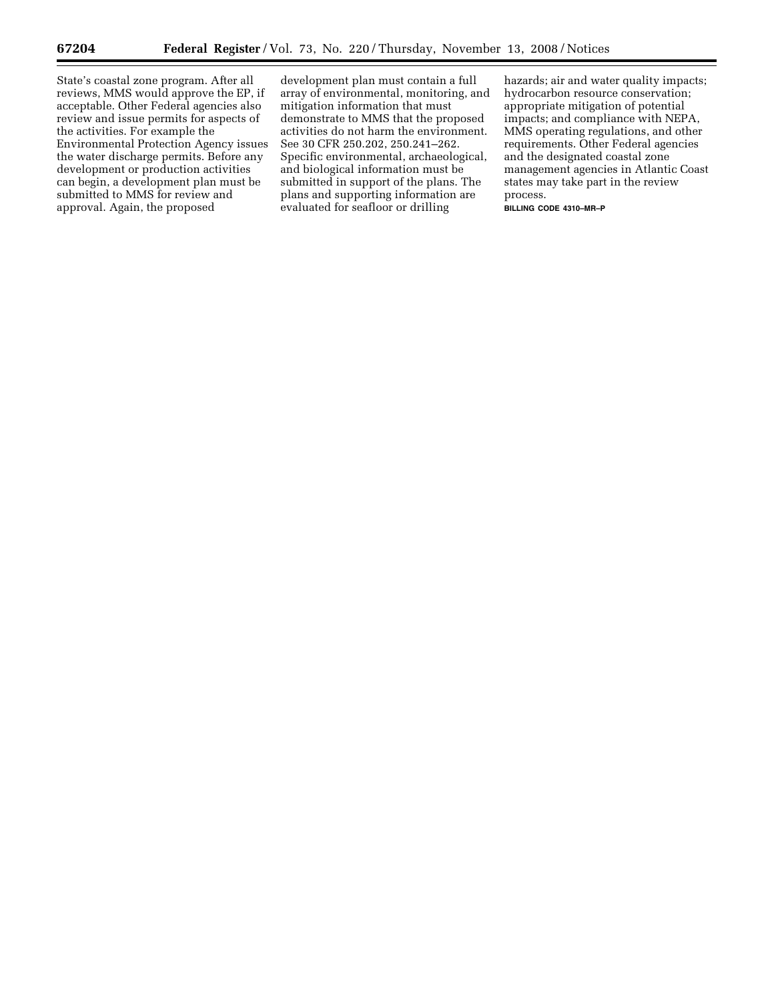State's coastal zone program. After all reviews, MMS would approve the EP, if acceptable. Other Federal agencies also review and issue permits for aspects of the activities. For example the Environmental Protection Agency issues the water discharge permits. Before any development or production activities can begin, a development plan must be submitted to MMS for review and approval. Again, the proposed

development plan must contain a full array of environmental, monitoring, and mitigation information that must demonstrate to MMS that the proposed activities do not harm the environment. See 30 CFR 250.202, 250.241–262. Specific environmental, archaeological, and biological information must be submitted in support of the plans. The plans and supporting information are evaluated for seafloor or drilling

hazards; air and water quality impacts; hydrocarbon resource conservation; appropriate mitigation of potential impacts; and compliance with NEPA, MMS operating regulations, and other requirements. Other Federal agencies and the designated coastal zone management agencies in Atlantic Coast states may take part in the review process.

**BILLING CODE 4310–MR–P**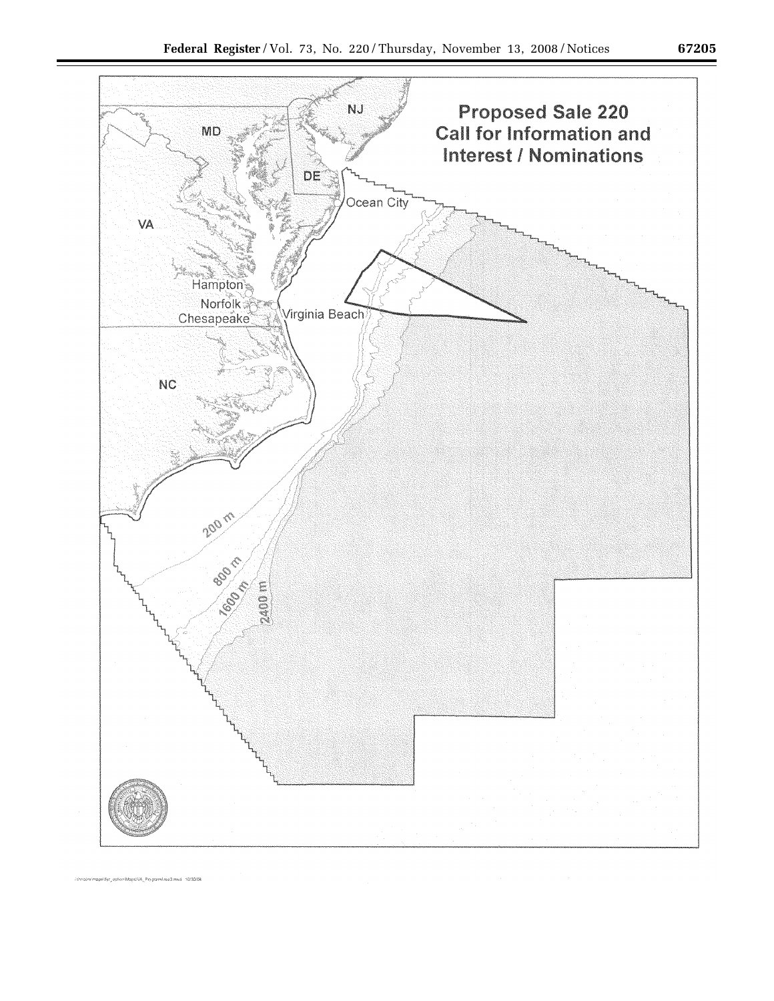